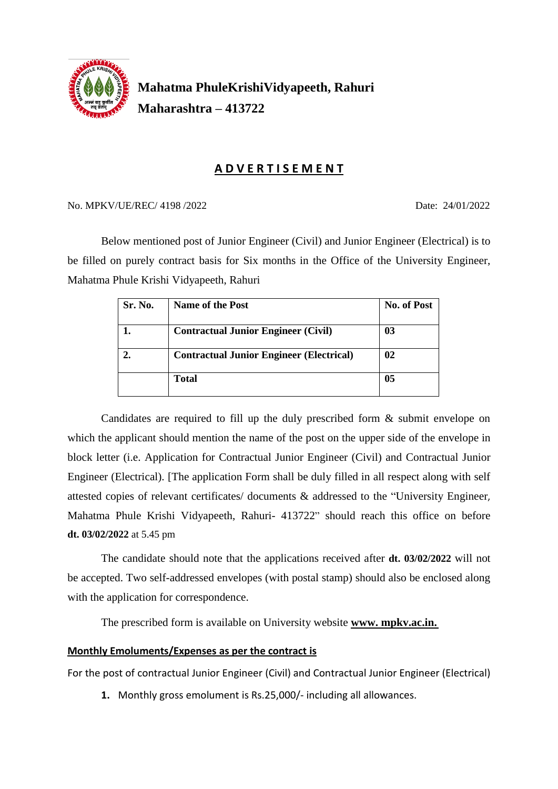

## **Mahatma PhuleKrishiVidyapeeth, Rahuri Maharashtra – 413722**

#### **A D V E R T I S E M E N T**

#### No. MPKV/UE/REC/ 4198 /2022 Date: 24/01/2022

Below mentioned post of Junior Engineer (Civil) and Junior Engineer (Electrical) is to be filled on purely contract basis for Six months in the Office of the University Engineer, Mahatma Phule Krishi Vidyapeeth, Rahuri

| Sr. No. | <b>Name of the Post</b>                         | <b>No. of Post</b> |
|---------|-------------------------------------------------|--------------------|
|         | <b>Contractual Junior Engineer (Civil)</b>      | 03                 |
|         | <b>Contractual Junior Engineer (Electrical)</b> | 02                 |
|         | <b>Total</b>                                    | 05                 |

Candidates are required to fill up the duly prescribed form & submit envelope on which the applicant should mention the name of the post on the upper side of the envelope in block letter (i.e. Application for Contractual Junior Engineer (Civil) and Contractual Junior Engineer (Electrical). [The application Form shall be duly filled in all respect along with self attested copies of relevant certificates/ documents & addressed to the "University Engineer, Mahatma Phule Krishi Vidyapeeth, Rahuri- 413722" should reach this office on before **dt. 03/02/2022** at 5.45 pm

The candidate should note that the applications received after **dt. 03/02/2022** will not be accepted. Two self-addressed envelopes (with postal stamp) should also be enclosed along with the application for correspondence.

The prescribed form is available on University website **www. mpkv.ac.in.**

#### **Monthly Emoluments/Expenses as per the contract is**

For the post of contractual Junior Engineer (Civil) and Contractual Junior Engineer (Electrical)

**1.** Monthly gross emolument is Rs.25,000/- including all allowances.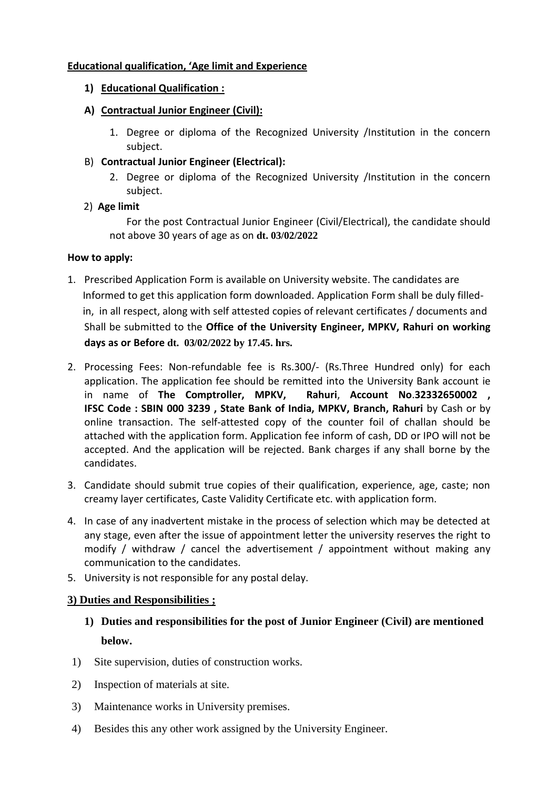#### **Educational qualification, 'Age limit and Experience**

- **1) Educational Qualification :**
- **A) Contractual Junior Engineer (Civil):**
	- 1. Degree or diploma of the Recognized University /Institution in the concern subject.
- B) **Contractual Junior Engineer (Electrical):**
	- 2. Degree or diploma of the Recognized University /Institution in the concern subject.
- 2) **Age limit**

For the post Contractual Junior Engineer (Civil/Electrical), the candidate should not above 30 years of age as on **dt. 03/02/2022**

#### **How to apply:**

- 1. Prescribed Application Form is available on University website. The candidates are Informed to get this application form downloaded. Application Form shall be duly filled in, in all respect, along with self attested copies of relevant certificates / documents and Shall be submitted to the **Office of the University Engineer, MPKV, Rahuri on working days as or Before dt. 03/02/2022 by 17.45. hrs.**
- 2. Processing Fees: Non-refundable fee is Rs.300/- (Rs.Three Hundred only) for each application. The application fee should be remitted into the University Bank account ie in name of **The Comptroller, MPKV, Rahuri**, **Account No**.**32332650002 , IFSC Code : SBIN 000 3239 , State Bank of India, MPKV, Branch, Rahuri** by Cash or by online transaction. The self-attested copy of the counter foil of challan should be attached with the application form. Application fee inform of cash, DD or IPO will not be accepted. And the application will be rejected. Bank charges if any shall borne by the candidates.
- 3. Candidate should submit true copies of their qualification, experience, age, caste; non creamy layer certificates, Caste Validity Certificate etc. with application form.
- 4. In case of any inadvertent mistake in the process of selection which may be detected at any stage, even after the issue of appointment letter the university reserves the right to modify / withdraw / cancel the advertisement / appointment without making any communication to the candidates.
- 5. University is not responsible for any postal delay.

#### **3) Duties and Responsibilities ;**

- **1) Duties and responsibilities for the post of Junior Engineer (Civil) are mentioned below.**
- 1) Site supervision, duties of construction works.
- 2) Inspection of materials at site.
- 3) Maintenance works in University premises.
- 4) Besides this any other work assigned by the University Engineer.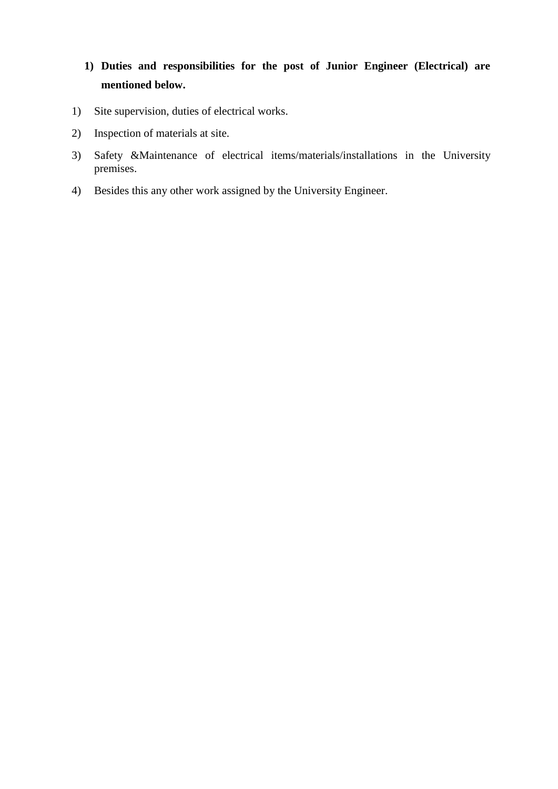## **1) Duties and responsibilities for the post of Junior Engineer (Electrical) are mentioned below.**

- 1) Site supervision, duties of electrical works.
- 2) Inspection of materials at site.
- 3) Safety &Maintenance of electrical items/materials/installations in the University premises.
- 4) Besides this any other work assigned by the University Engineer.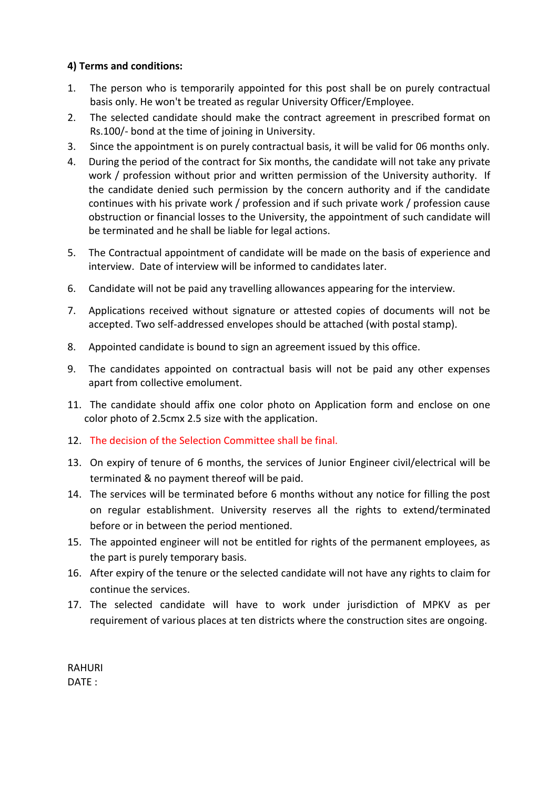#### **4) Terms and conditions:**

- 1. The person who is temporarily appointed for this post shall be on purely contractual basis only. He won't be treated as regular University Officer/Employee.
- 2. The selected candidate should make the contract agreement in prescribed format on Rs.100/- bond at the time of joining in University.
- 3. Since the appointment is on purely contractual basis, it will be valid for 06 months only.
- 4. During the period of the contract for Six months, the candidate will not take any private work / profession without prior and written permission of the University authority. If the candidate denied such permission by the concern authority and if the candidate continues with his private work / profession and if such private work / profession cause obstruction or financial losses to the University, the appointment of such candidate will be terminated and he shall be liable for legal actions.
- 5. The Contractual appointment of candidate will be made on the basis of experience and interview. Date of interview will be informed to candidates later.
- 6. Candidate will not be paid any travelling allowances appearing for the interview.
- 7. Applications received without signature or attested copies of documents will not be accepted. Two self-addressed envelopes should be attached (with postal stamp).
- 8. Appointed candidate is bound to sign an agreement issued by this office.
- 9. The candidates appointed on contractual basis will not be paid any other expenses apart from collective emolument.
- 11. The candidate should affix one color photo on Application form and enclose on one color photo of 2.5cmx 2.5 size with the application.
- 12. The decision of the Selection Committee shall be final.
- 13. On expiry of tenure of 6 months, the services of Junior Engineer civil/electrical will be terminated & no payment thereof will be paid.
- 14. The services will be terminated before 6 months without any notice for filling the post on regular establishment. University reserves all the rights to extend/terminated before or in between the period mentioned.
- 15. The appointed engineer will not be entitled for rights of the permanent employees, as the part is purely temporary basis.
- 16. After expiry of the tenure or the selected candidate will not have any rights to claim for continue the services.
- 17. The selected candidate will have to work under jurisdiction of MPKV as per requirement of various places at ten districts where the construction sites are ongoing.

RAHURI DATE :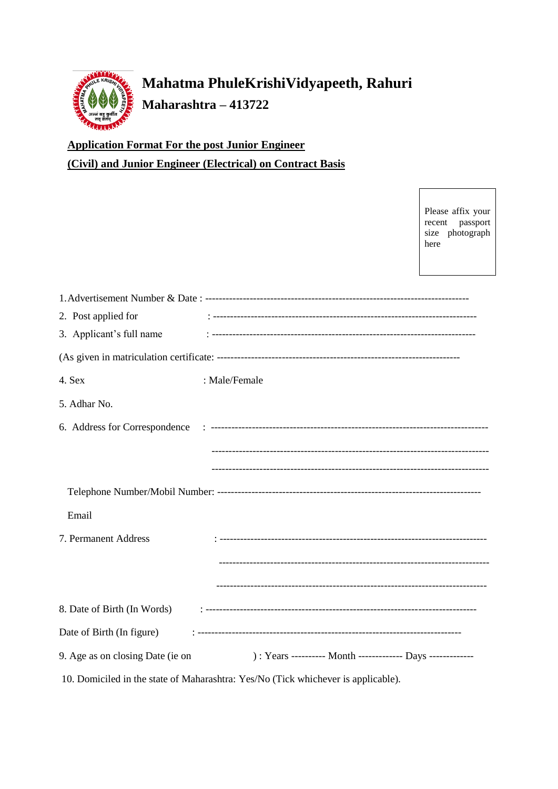

# **Mahatma PhuleKrishiVidyapeeth, Rahuri Maharashtra – 413722**

**Application Format For the post Junior Engineer (Civil) and Junior Engineer (Electrical) on Contract Basis**

> Please affix your recent passport size photograph here

| 2. Post applied for              |                                                                                   |
|----------------------------------|-----------------------------------------------------------------------------------|
| 3. Applicant's full name         |                                                                                   |
|                                  |                                                                                   |
| 4. Sex                           | : Male/Female                                                                     |
| 5. Adhar No.                     |                                                                                   |
|                                  |                                                                                   |
|                                  |                                                                                   |
|                                  |                                                                                   |
|                                  |                                                                                   |
| Email                            |                                                                                   |
| 7. Permanent Address             |                                                                                   |
|                                  |                                                                                   |
|                                  |                                                                                   |
|                                  |                                                                                   |
|                                  |                                                                                   |
| 9. Age as on closing Date (ie on | ) : Years ---------- Month ------------- Days -------------                       |
|                                  | 10. Domiciled in the state of Maharashtra: Yes/No (Tick whichever is applicable). |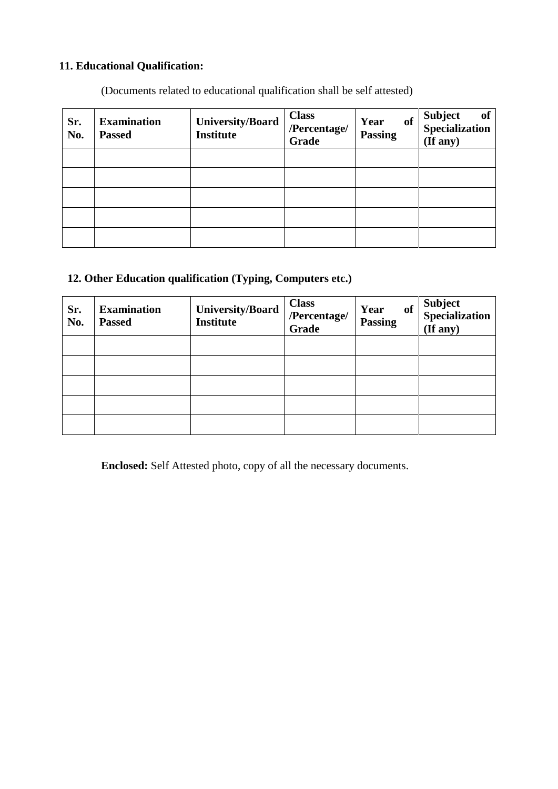### **11. Educational Qualification:**

(Documents related to educational qualification shall be self attested)

| Sr.<br>No. | <b>Examination</b><br><b>Passed</b> | <b>University/Board</b><br><b>Institute</b> | <b>Class</b><br>/Percentage/<br>Grade | of<br>Year<br><b>Passing</b> | of<br>Subject of<br>Specialization<br>(If any) |
|------------|-------------------------------------|---------------------------------------------|---------------------------------------|------------------------------|------------------------------------------------|
|            |                                     |                                             |                                       |                              |                                                |
|            |                                     |                                             |                                       |                              |                                                |
|            |                                     |                                             |                                       |                              |                                                |
|            |                                     |                                             |                                       |                              |                                                |
|            |                                     |                                             |                                       |                              |                                                |

### **12. Other Education qualification (Typing, Computers etc.)**

| Sr.<br>No. | <b>Examination</b><br><b>Passed</b> | <b>University/Board</b><br><b>Institute</b> | <b>Class</b><br>/Percentage/<br>Grade | Year<br><b>of</b><br><b>Passing</b> | Subject<br>Specialization<br>(If any) |
|------------|-------------------------------------|---------------------------------------------|---------------------------------------|-------------------------------------|---------------------------------------|
|            |                                     |                                             |                                       |                                     |                                       |
|            |                                     |                                             |                                       |                                     |                                       |
|            |                                     |                                             |                                       |                                     |                                       |
|            |                                     |                                             |                                       |                                     |                                       |
|            |                                     |                                             |                                       |                                     |                                       |

**Enclosed:** Self Attested photo, copy of all the necessary documents.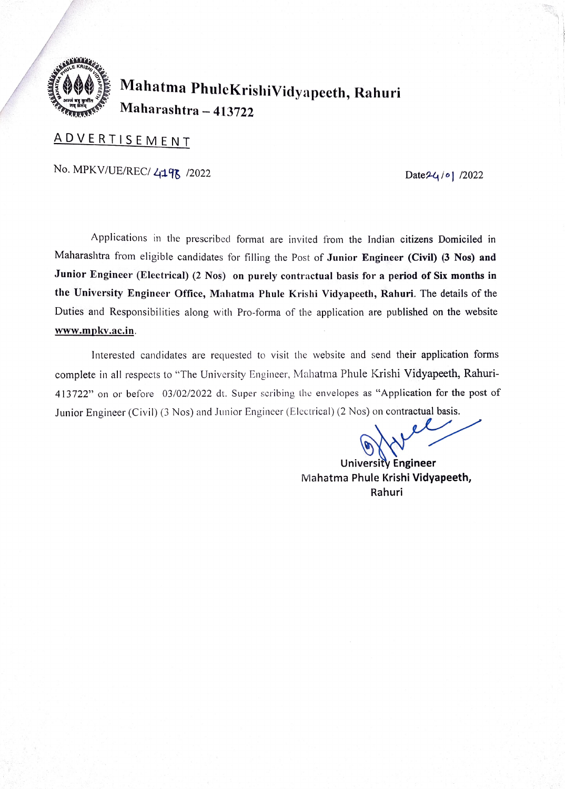

# 00 Mahatma PhuleKrishiVidyapeeth, Rahuri Maharashtra- 413722

## ADVERTISEMENT

No. MPKV/UE/REC/ 4198 /2022 Date24/ol /2022

Applications in the prescribed format are invited from the Indian citizens Domiciled in Maharashtra from eligible candidates for filling the Post of Junior Engineer (Civil) (3 Nos) and Junior Engineer (Electrical) (2 Nos) on purely contractual basis for a period of Six months in the University Engineer Office, Mahatma Phule Krishi Vidyapecth, Rahuri. The details of the Duties and Responsibilities along with Pro-forma of the application are published on the website www.mpkv.ac.in.

Interested candidates are requested to visit the website and send their application forms complete in all respects to "The University Engineer, Mahatma Phule Krishi Vidyapeeth, Rahuri 413722" on or before 03/02/2022 dt. Super seribing the envelopes as "Application for the post of Junior Engineer (Civil) (3 Nos) and Junior Engineer (Electrical) (2 Nos) on contractual basis.

University Engineer Mahatma Phule Krishi Vidyapeeth, Rahuri